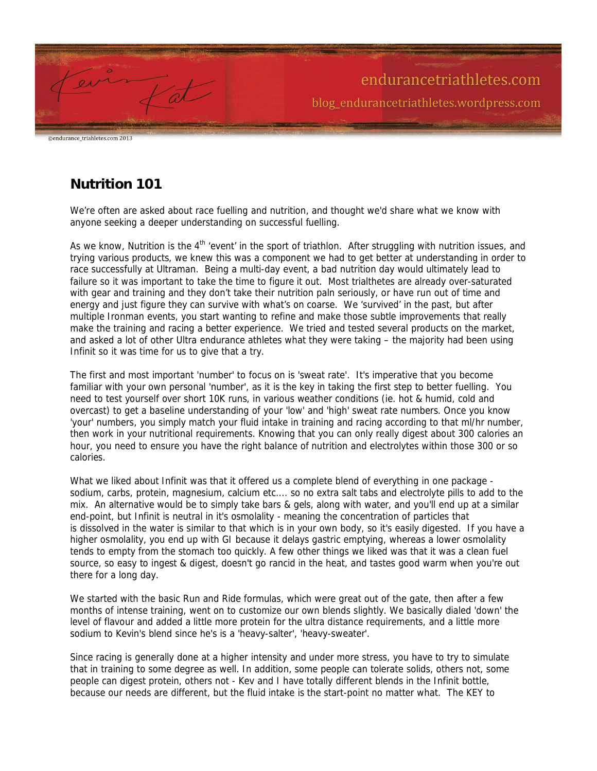

ndurance triahletes.com 2013

## **Nutrition 101**

We're often are asked about race fuelling and nutrition, and thought we'd share what we know with anyone seeking a deeper understanding on successful fuelling.

As we know, Nutrition is the  $4<sup>th</sup>$  'event' in the sport of triathlon. After struggling with nutrition issues, and trying various products, we knew this was a component we had to get better at understanding in order to race successfully at Ultraman. Being a multi-day event, a bad nutrition day would ultimately lead to failure so it was important to take the time to figure it out. Most trialthetes are already over-saturated with gear and training and they don't take their nutrition paln seriously, or have run out of time and energy and just figure they can survive with what's on coarse. We 'survived' in the past, but after multiple Ironman events, you start wanting to refine and make those subtle improvements that really make the training and racing a better experience. We tried and tested several products on the market, and asked a lot of other Ultra endurance athletes what they were taking – the majority had been using Infinit so it was time for us to give that a try.

The first and most important 'number' to focus on is 'sweat rate'. It's imperative that you become familiar with your own personal 'number', as it is the key in taking the first step to better fuelling. You need to test yourself over short 10K runs, in various weather conditions (ie. hot & humid, cold and overcast) to get a baseline understanding of your 'low' and 'high' sweat rate numbers. Once you know 'your' numbers, you simply match your fluid intake in training and racing according to that ml/hr number, then work in your nutritional requirements. Knowing that you can only really digest about 300 calories an hour, you need to ensure you have the right balance of nutrition and electrolytes within those 300 or so calories.

What we liked about Infinit was that it offered us a complete blend of everything in one package sodium, carbs, protein, magnesium, calcium etc.... so no extra salt tabs and electrolyte pills to add to the mix. An alternative would be to simply take bars & gels, along with water, and you'll end up at a similar end-point, but Infinit is neutral in it's osmolality - meaning the concentration of particles that is dissolved in the water is similar to that which is in your own body, so it's easily digested. If you have a higher osmolality, you end up with GI because it delays gastric emptying, whereas a lower osmolality tends to empty from the stomach too quickly. A few other things we liked was that it was a clean fuel source, so easy to ingest & digest, doesn't go rancid in the heat, and tastes good warm when you're out there for a long day.

We started with the basic Run and Ride formulas, which were great out of the gate, then after a few months of intense training, went on to customize our own blends slightly. We basically dialed 'down' the level of flavour and added a little more protein for the ultra distance requirements, and a little more sodium to Kevin's blend since he's is a 'heavy-salter', 'heavy-sweater'.

Since racing is generally done at a higher intensity and under more stress, you have to try to simulate that in training to some degree as well. In addition, some people can tolerate solids, others not, some people can digest protein, others not - Kev and I have totally different blends in the Infinit bottle, because our needs are different, but the fluid intake is the start-point no matter what. The KEY to